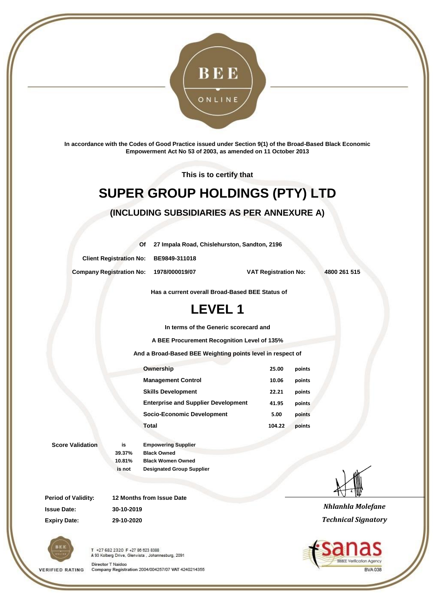

**In accordance with the Codes of Good Practice issued under Section 9(1) of the Broad-Based Black Economic Empowerment Act No 53 of 2003, as amended on 11 October 2013**

**This is to certify that**

# **SUPER GROUP HOLDINGS (PTY) LTD**

#### **(INCLUDING SUBSIDIARIES AS PER ANNEXURE A)**

**Of 27 Impala Road, Chislehurston, Sandton, 2196**

**Client Registration No: BE9849-311018**

**Company Registration No: 1978/000019/07 VAT Registration No: 4800 261 515**

**Has a current overall Broad-Based BEE Status of**

## **LEVEL 1**

**In terms of the Generic scorecard and**

**A BEE Procurement Recognition Level of 135%**

**And a Broad-Based BEE Weighting points level in respect of**

| Ownership                                  | 25.00  | points |
|--------------------------------------------|--------|--------|
| <b>Management Control</b>                  | 10.06  | points |
| <b>Skills Development</b>                  | 22.21  | points |
| <b>Enterprise and Supplier Development</b> | 41.95  | points |
| Socio-Economic Development                 | 5.00   | points |
| Total                                      | 104.22 | points |
|                                            |        |        |

**Score Validation is Empowering Supplier**

**39.37% Black Owned 10.81% Black Women Owned is not Designated Group Supplier**

**Period of Validity: 12 Months from Issue Date Issue Date: 30-10-2019 Expiry Date: 29-10-2020**



**VERIFIED RATING** 

T +27 682 2320 F +27 88 623 8388 A 93 Kolberg Drive, Glenvista, Johannesburg, 2091 Director T Naidoo

Company Registration 2004/004257/07 VAT 4240214355



*Nhlanhla Molefane Technical Signatory*